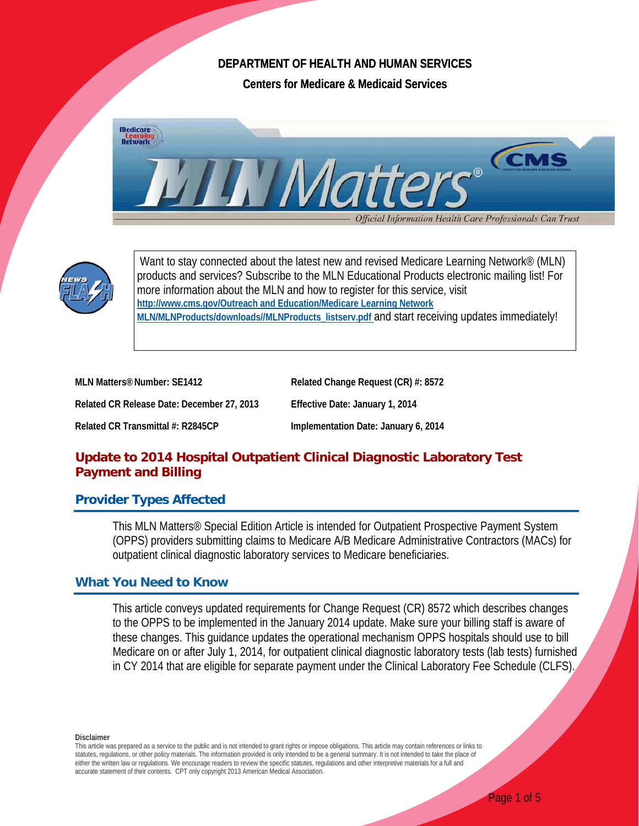## **DEPARTMENT OF HEALTH AND HUMAN SERVICES**

**Centers for Medicare & Medicaid Services** 





Want to stay connected about the latest new and revised Medicare Learning Network<sup>®</sup> (MLN) products and services? Subscribe to the MLN Educational Products electronic mailing list! For more information about the MLN and how to register for this service, visit **http://www.cms.gov/Outreach and Education/Medicare Learning Network MLN/MLNProducts/downloads//MLNProducts\_listserv.pdf** and start receiving updates immediately!

| MLN Matters <sup>®</sup> Number: SE1412    | Related Change Request (CR) #: 8572  |
|--------------------------------------------|--------------------------------------|
| Related CR Release Date: December 27, 2013 | Effective Date: January 1, 2014      |
| Related CR Transmittal #: R2845CP          | Implementation Date: January 6, 2014 |

# **Update to 2014 Hospital Outpatient Clinical Diagnostic Laboratory Test Payment and Billing**

### **Provider Types Affected**

This MLN Matters® Special Edition Article is intended for Outpatient Prospective Payment System (OPPS) providers submitting claims to Medicare A/B Medicare Administrative Contractors (MACs) for outpatient clinical diagnostic laboratory services to Medicare beneficiaries.

## **What You Need to Know**

This article conveys updated requirements for Change Request (CR) 8572 which describes changes to the OPPS to be implemented in the January 2014 update. Make sure your billing staff is aware of these changes. This guidance updates the operational mechanism OPPS hospitals should use to bill Medicare on or after July 1, 2014, for outpatient clinical diagnostic laboratory tests (lab tests) furnished in CY 2014 that are eligible for separate payment under the Clinical Laboratory Fee Schedule (CLFS).

**Disclaimer** 

This article was prepared as a service to the public and is not intended to grant rights or impose obligations. This article may contain references or links to statutes, regulations, or other policy materials. The information provided is only intended to be a general summary. It is not intended to take the place of either the written law or regulations. We encourage readers to review the specific statutes, regulations and other interpretive materials for a full and accurate statement of their contents. CPT only copyright 2013 American Medical Association.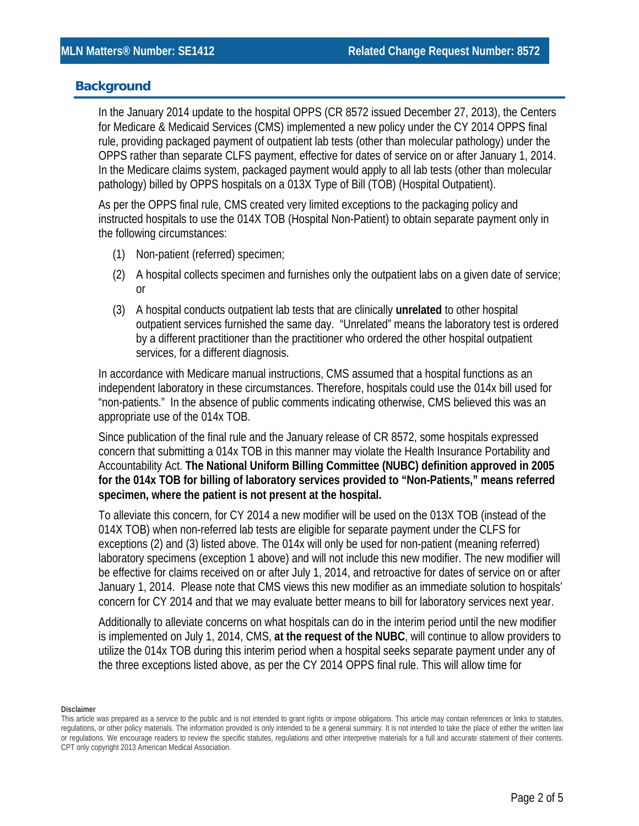### **Background**

In the January 2014 update to the hospital OPPS (CR 8572 issued December 27, 2013), the Centers for Medicare & Medicaid Services (CMS) implemented a new policy under the CY 2014 OPPS final rule, providing packaged payment of outpatient lab tests (other than molecular pathology) under the OPPS rather than separate CLFS payment, effective for dates of service on or after January 1, 2014. In the Medicare claims system, packaged payment would apply to all lab tests (other than molecular pathology) billed by OPPS hospitals on a 013X Type of Bill (TOB) (Hospital Outpatient).

As per the OPPS final rule, CMS created very limited exceptions to the packaging policy and instructed hospitals to use the 014X TOB (Hospital Non-Patient) to obtain separate payment only in the following circumstances:

- (1) Non-patient (referred) specimen;
- (2) A hospital collects specimen and furnishes only the outpatient labs on a given date of service; or
- (3) A hospital conducts outpatient lab tests that are clinically **unrelated** to other hospital outpatient services furnished the same day. "Unrelated" means the laboratory test is ordered by a different practitioner than the practitioner who ordered the other hospital outpatient services, for a different diagnosis.

In accordance with Medicare manual instructions, CMS assumed that a hospital functions as an independent laboratory in these circumstances. Therefore, hospitals could use the 014x bill used for "non-patients." In the absence of public comments indicating otherwise, CMS believed this was an appropriate use of the 014x TOB.

Since publication of the final rule and the January release of CR 8572, some hospitals expressed concern that submitting a 014x TOB in this manner may violate the Health Insurance Portability and Accountability Act. **The National Uniform Billing Committee (NUBC) definition approved in 2005 for the 014x TOB for billing of laboratory services provided to "Non-Patients," means referred specimen, where the patient is not present at the hospital.**

To alleviate this concern, for CY 2014 a new modifier will be used on the 013X TOB (instead of the 014X TOB) when non-referred lab tests are eligible for separate payment under the CLFS for exceptions (2) and (3) listed above. The 014x will only be used for non-patient (meaning referred) laboratory specimens (exception 1 above) and will not include this new modifier. The new modifier will be effective for claims received on or after July 1, 2014, and retroactive for dates of service on or after January 1, 2014. Please note that CMS views this new modifier as an immediate solution to hospitals' concern for CY 2014 and that we may evaluate better means to bill for laboratory services next year.

Additionally to alleviate concerns on what hospitals can do in the interim period until the new modifier is implemented on July 1, 2014, CMS, **at the request of the NUBC**, will continue to allow providers to utilize the 014x TOB during this interim period when a hospital seeks separate payment under any of the three exceptions listed above, as per the CY 2014 OPPS final rule. This will allow time for

This article was prepared as a service to the public and is not intended to grant rights or impose obligations. This article may contain references or links to statutes, regulations, or other policy materials. The information provided is only intended to be a general summary. It is not intended to take the place of either the written law or regulations. We encourage readers to review the specific statutes, regulations and other interpretive materials for a full and accurate statement of their contents. CPT only copyright 2013 American Medical Association.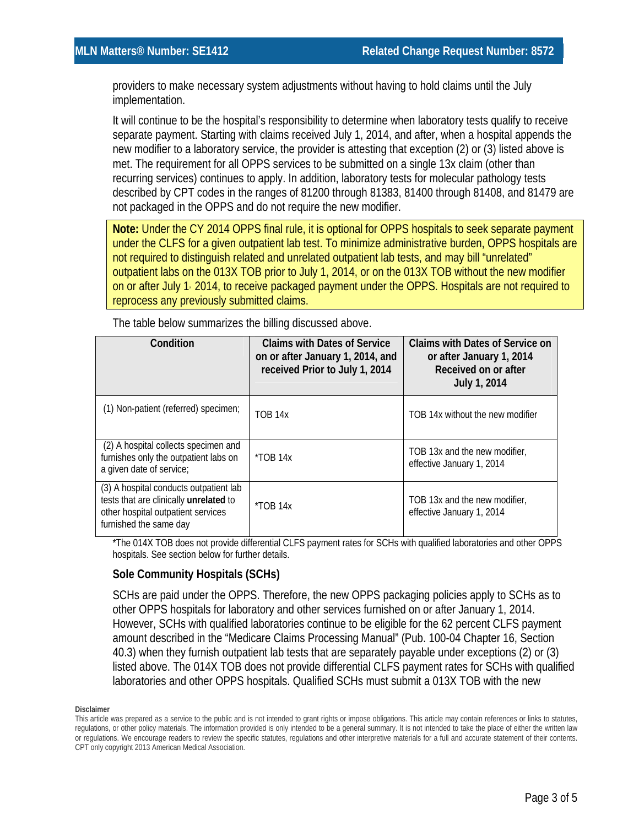providers to make necessary system adjustments without having to hold claims until the July implementation.

It will continue to be the hospital's responsibility to determine when laboratory tests qualify to receive separate payment. Starting with claims received July 1, 2014, and after, when a hospital appends the new modifier to a laboratory service, the provider is attesting that exception (2) or (3) listed above is met. The requirement for all OPPS services to be submitted on a single 13x claim (other than recurring services) continues to apply. In addition, laboratory tests for molecular pathology tests described by CPT codes in the ranges of 81200 through 81383, 81400 through 81408, and 81479 are not packaged in the OPPS and do not require the new modifier.

**Note:** Under the CY 2014 OPPS final rule, it is optional for OPPS hospitals to seek separate payment under the CLFS for a given outpatient lab test. To minimize administrative burden, OPPS hospitals are not required to distinguish related and unrelated outpatient lab tests, and may bill "unrelated" outpatient labs on the 013X TOB prior to July 1, 2014, or on the 013X TOB without the new modifier on or after July 1, 2014, to receive packaged payment under the OPPS. Hospitals are not required to reprocess any previously submitted claims.

| Condition                                                                                                                                        | <b>Claims with Dates of Service</b><br>on or after January 1, 2014, and<br>received Prior to July 1, 2014 | <b>Claims with Dates of Service on</b><br>or after January 1, 2014<br>Received on or after<br>July 1, 2014 |
|--------------------------------------------------------------------------------------------------------------------------------------------------|-----------------------------------------------------------------------------------------------------------|------------------------------------------------------------------------------------------------------------|
| (1) Non-patient (referred) specimen;                                                                                                             | <b>TOB 14x</b>                                                                                            | TOB 14x without the new modifier                                                                           |
| (2) A hospital collects specimen and<br>furnishes only the outpatient labs on<br>a given date of service;                                        | $*TOB$ 14x                                                                                                | TOB 13x and the new modifier,<br>effective January 1, 2014                                                 |
| (3) A hospital conducts outpatient lab<br>tests that are clinically unrelated to<br>other hospital outpatient services<br>furnished the same day | $*TOB$ 14x                                                                                                | TOB 13x and the new modifier,<br>effective January 1, 2014                                                 |

The table below summarizes the billing discussed above.

\*The 014X TOB does not provide differential CLFS payment rates for SCHs with qualified laboratories and other OPPS hospitals. See section below for further details.

#### **Sole Community Hospitals (SCHs)**

SCHs are paid under the OPPS. Therefore, the new OPPS packaging policies apply to SCHs as to other OPPS hospitals for laboratory and other services furnished on or after January 1, 2014. However, SCHs with qualified laboratories continue to be eligible for the 62 percent CLFS payment amount described in the "Medicare Claims Processing Manual" (Pub. 100-04 Chapter 16, Section 40.3) when they furnish outpatient lab tests that are separately payable under exceptions (2) or (3) listed above. The 014X TOB does not provide differential CLFS payment rates for SCHs with qualified laboratories and other OPPS hospitals. Qualified SCHs must submit a 013X TOB with the new

This article was prepared as a service to the public and is not intended to grant rights or impose obligations. This article may contain references or links to statutes, regulations, or other policy materials. The information provided is only intended to be a general summary. It is not intended to take the place of either the written law or regulations. We encourage readers to review the specific statutes, regulations and other interpretive materials for a full and accurate statement of their contents. CPT only copyright 2013 American Medical Association.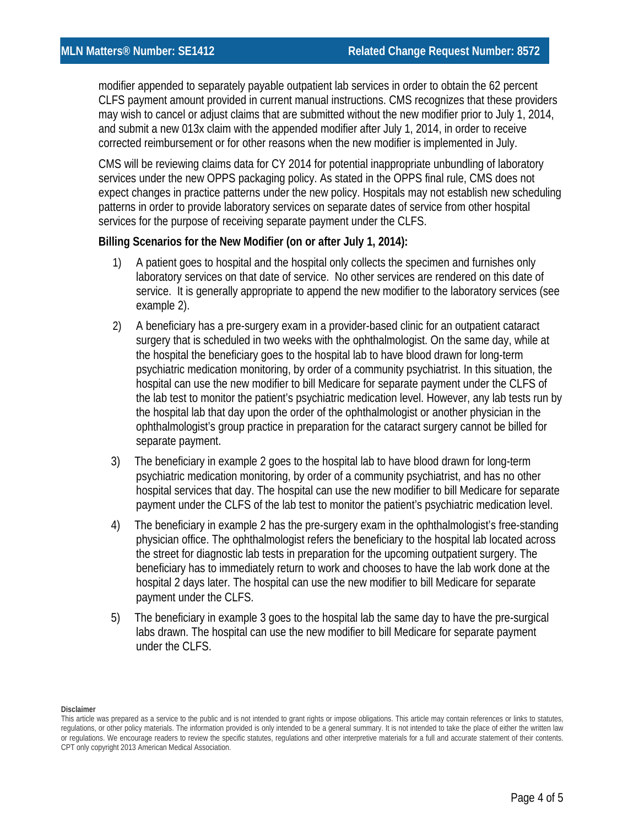modifier appended to separately payable outpatient lab services in order to obtain the 62 percent CLFS payment amount provided in current manual instructions. CMS recognizes that these providers may wish to cancel or adjust claims that are submitted without the new modifier prior to July 1, 2014, and submit a new 013x claim with the appended modifier after July 1, 2014, in order to receive corrected reimbursement or for other reasons when the new modifier is implemented in July.

CMS will be reviewing claims data for CY 2014 for potential inappropriate unbundling of laboratory services under the new OPPS packaging policy. As stated in the OPPS final rule, CMS does not expect changes in practice patterns under the new policy. Hospitals may not establish new scheduling patterns in order to provide laboratory services on separate dates of service from other hospital services for the purpose of receiving separate payment under the CLFS.

#### **Billing Scenarios for the New Modifier (on or after July 1, 2014):**

- 1) A patient goes to hospital and the hospital only collects the specimen and furnishes only laboratory services on that date of service. No other services are rendered on this date of service. It is generally appropriate to append the new modifier to the laboratory services (see example 2).
- 2) A beneficiary has a pre-surgery exam in a provider-based clinic for an outpatient cataract surgery that is scheduled in two weeks with the ophthalmologist. On the same day, while at the hospital the beneficiary goes to the hospital lab to have blood drawn for long-term psychiatric medication monitoring, by order of a community psychiatrist. In this situation, the hospital can use the new modifier to bill Medicare for separate payment under the CLFS of the lab test to monitor the patient's psychiatric medication level. However, any lab tests run by the hospital lab that day upon the order of the ophthalmologist or another physician in the ophthalmologist's group practice in preparation for the cataract surgery cannot be billed for separate payment.
- 3) The beneficiary in example 2 goes to the hospital lab to have blood drawn for long-term psychiatric medication monitoring, by order of a community psychiatrist, and has no other hospital services that day. The hospital can use the new modifier to bill Medicare for separate payment under the CLFS of the lab test to monitor the patient's psychiatric medication level.
- 4) The beneficiary in example 2 has the pre-surgery exam in the ophthalmologist's free-standing physician office. The ophthalmologist refers the beneficiary to the hospital lab located across the street for diagnostic lab tests in preparation for the upcoming outpatient surgery. The beneficiary has to immediately return to work and chooses to have the lab work done at the hospital 2 days later. The hospital can use the new modifier to bill Medicare for separate payment under the CLFS.
- 5) The beneficiary in example 3 goes to the hospital lab the same day to have the pre-surgical labs drawn. The hospital can use the new modifier to bill Medicare for separate payment under the CLFS.

This article was prepared as a service to the public and is not intended to grant rights or impose obligations. This article may contain references or links to statutes, regulations, or other policy materials. The information provided is only intended to be a general summary. It is not intended to take the place of either the written law or regulations. We encourage readers to review the specific statutes, regulations and other interpretive materials for a full and accurate statement of their contents. CPT only copyright 2013 American Medical Association.